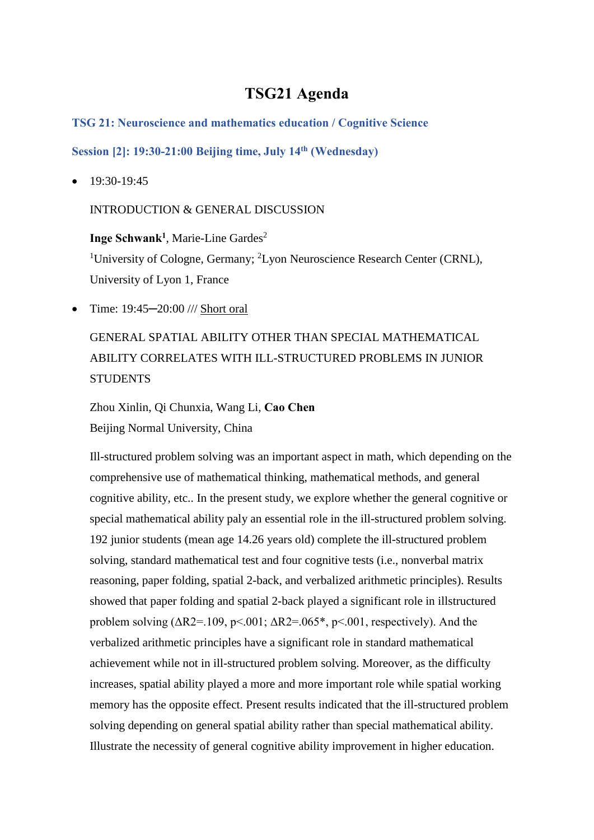### **TSG21 Agenda**

#### **TSG 21: Neuroscience and mathematics education / Cognitive Science**

### **Session [2]: 19:30-21:00 Beijing time, July 14th (Wednesday)**

• 19:30-19:45

INTRODUCTION & GENERAL DISCUSSION

**Inge Schwank<sup>1</sup>, Marie-Line Gardes<sup>2</sup>** <sup>1</sup>University of Cologne, Germany; <sup>2</sup>Lyon Neuroscience Research Center (CRNL), University of Lyon 1, France

• Time: 19:45─20:00 /// Short oral

# GENERAL SPATIAL ABILITY OTHER THAN SPECIAL MATHEMATICAL ABILITY CORRELATES WITH ILL-STRUCTURED PROBLEMS IN JUNIOR **STUDENTS**

Zhou Xinlin, Qi Chunxia, Wang Li, **Cao Chen** Beijing Normal University, China

Ill-structured problem solving was an important aspect in math, which depending on the comprehensive use of mathematical thinking, mathematical methods, and general cognitive ability, etc.. In the present study, we explore whether the general cognitive or special mathematical ability paly an essential role in the ill-structured problem solving. 192 junior students (mean age 14.26 years old) complete the ill-structured problem solving, standard mathematical test and four cognitive tests (i.e., nonverbal matrix reasoning, paper folding, spatial 2-back, and verbalized arithmetic principles). Results showed that paper folding and spatial 2-back played a significant role in illstructured problem solving  $(\Delta R2 = .109, p<.001; \Delta R2 = .065^*$ , p $<.001$ , respectively). And the verbalized arithmetic principles have a significant role in standard mathematical achievement while not in ill-structured problem solving. Moreover, as the difficulty increases, spatial ability played a more and more important role while spatial working memory has the opposite effect. Present results indicated that the ill-structured problem solving depending on general spatial ability rather than special mathematical ability. Illustrate the necessity of general cognitive ability improvement in higher education.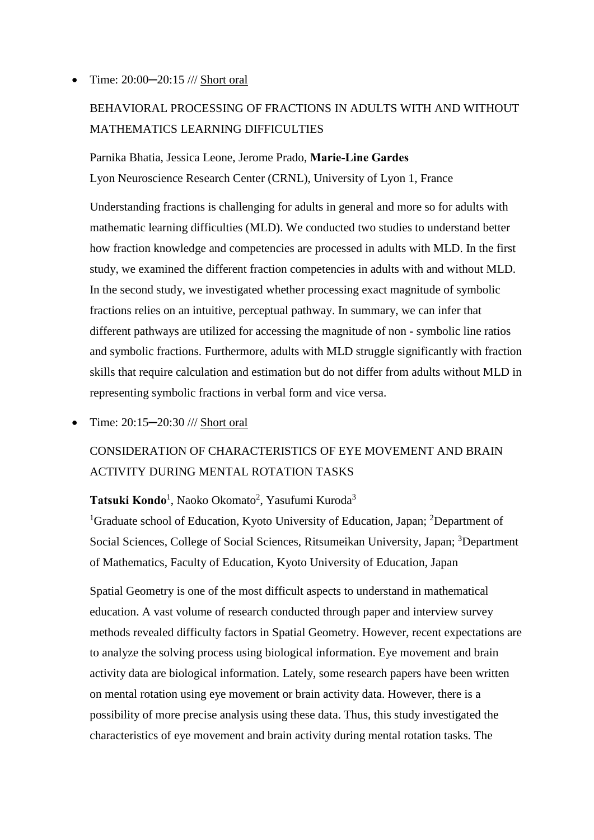• Time: 20:00–20:15 /// Short oral

# BEHAVIORAL PROCESSING OF FRACTIONS IN ADULTS WITH AND WITHOUT MATHEMATICS LEARNING DIFFICULTIES

Parnika Bhatia, Jessica Leone, Jerome Prado, **Marie-Line Gardes** Lyon Neuroscience Research Center (CRNL), University of Lyon 1, France

Understanding fractions is challenging for adults in general and more so for adults with mathematic learning difficulties (MLD). We conducted two studies to understand better how fraction knowledge and competencies are processed in adults with MLD. In the first study, we examined the different fraction competencies in adults with and without MLD. In the second study, we investigated whether processing exact magnitude of symbolic fractions relies on an intuitive, perceptual pathway. In summary, we can infer that different pathways are utilized for accessing the magnitude of non - symbolic line ratios and symbolic fractions. Furthermore, adults with MLD struggle significantly with fraction skills that require calculation and estimation but do not differ from adults without MLD in representing symbolic fractions in verbal form and vice versa.

• Time: 20:15—20:30 /// Short oral

### CONSIDERATION OF CHARACTERISTICS OF EYE MOVEMENT AND BRAIN ACTIVITY DURING MENTAL ROTATION TASKS

#### Tatsuki Kondo<sup>1</sup>, Naoko Okomato<sup>2</sup>, Yasufumi Kuroda<sup>3</sup>

<sup>1</sup>Graduate school of Education, Kyoto University of Education, Japan; <sup>2</sup>Department of Social Sciences, College of Social Sciences, Ritsumeikan University, Japan; <sup>3</sup>Department of Mathematics, Faculty of Education, Kyoto University of Education, Japan

Spatial Geometry is one of the most difficult aspects to understand in mathematical education. A vast volume of research conducted through paper and interview survey methods revealed difficulty factors in Spatial Geometry. However, recent expectations are to analyze the solving process using biological information. Eye movement and brain activity data are biological information. Lately, some research papers have been written on mental rotation using eye movement or brain activity data. However, there is a possibility of more precise analysis using these data. Thus, this study investigated the characteristics of eye movement and brain activity during mental rotation tasks. The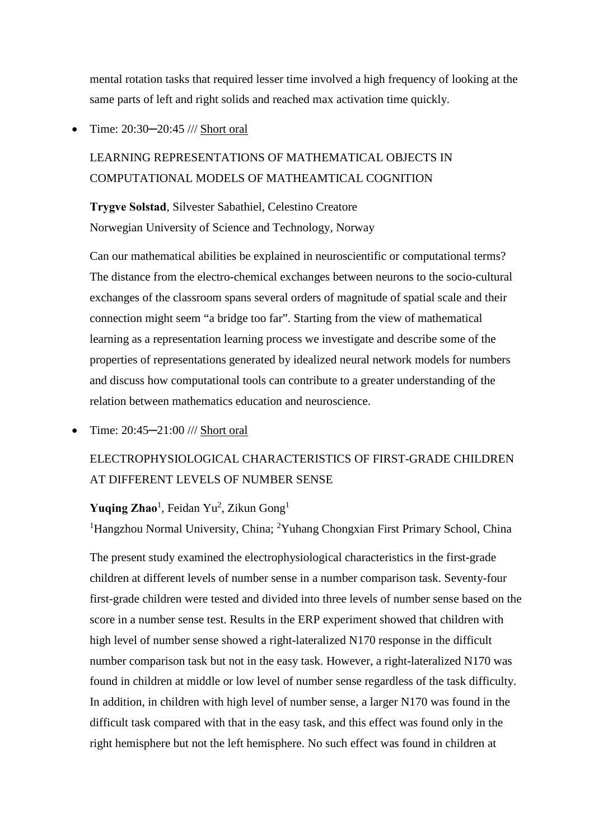mental rotation tasks that required lesser time involved a high frequency of looking at the same parts of left and right solids and reached max activation time quickly.

#### • Time: 20:30─20:45 /// Short oral

## LEARNING REPRESENTATIONS OF MATHEMATICAL OBJECTS IN COMPUTATIONAL MODELS OF MATHEAMTICAL COGNITION

**Trygve Solstad**, Silvester Sabathiel, Celestino Creatore Norwegian University of Science and Technology, Norway

Can our mathematical abilities be explained in neuroscientific or computational terms? The distance from the electro-chemical exchanges between neurons to the socio-cultural exchanges of the classroom spans several orders of magnitude of spatial scale and their connection might seem "a bridge too far". Starting from the view of mathematical learning as a representation learning process we investigate and describe some of the properties of representations generated by idealized neural network models for numbers and discuss how computational tools can contribute to a greater understanding of the relation between mathematics education and neuroscience.

• Time: 20:45─21:00 /// Short oral

## ELECTROPHYSIOLOGICAL CHARACTERISTICS OF FIRST-GRADE CHILDREN AT DIFFERENT LEVELS OF NUMBER SENSE

#### Yuqing Zhao<sup>1</sup>, Feidan Yu<sup>2</sup>, Zikun Gong<sup>1</sup>

<sup>1</sup>Hangzhou Normal University, China; <sup>2</sup>Yuhang Chongxian First Primary School, China

The present study examined the electrophysiological characteristics in the first-grade children at different levels of number sense in a number comparison task. Seventy-four first-grade children were tested and divided into three levels of number sense based on the score in a number sense test. Results in the ERP experiment showed that children with high level of number sense showed a right-lateralized N170 response in the difficult number comparison task but not in the easy task. However, a right-lateralized N170 was found in children at middle or low level of number sense regardless of the task difficulty. In addition, in children with high level of number sense, a larger N170 was found in the difficult task compared with that in the easy task, and this effect was found only in the right hemisphere but not the left hemisphere. No such effect was found in children at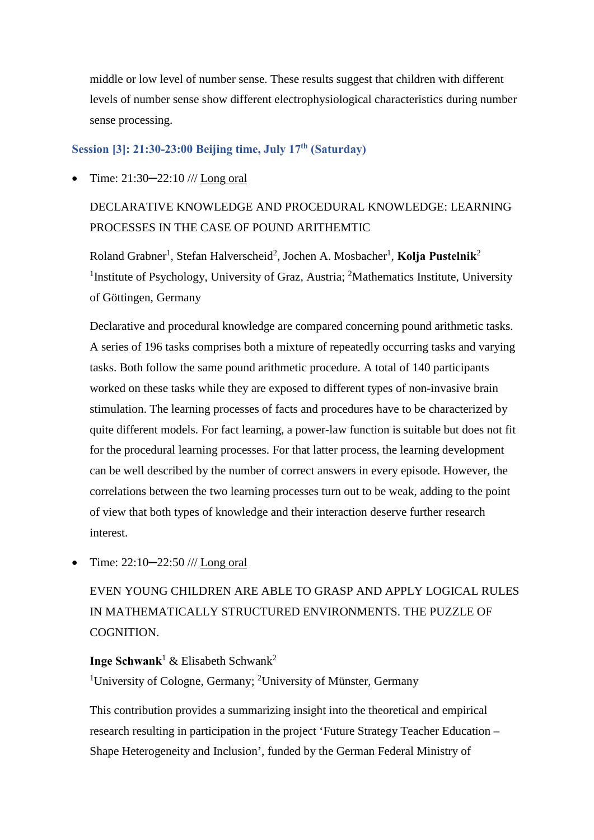middle or low level of number sense. These results suggest that children with different levels of number sense show different electrophysiological characteristics during number sense processing.

#### **Session [3]: 21:30-23:00 Beijing time, July 17th (Saturday)**

• Time: 21:30─22:10 /// Long oral

DECLARATIVE KNOWLEDGE AND PROCEDURAL KNOWLEDGE: LEARNING PROCESSES IN THE CASE OF POUND ARITHEMTIC

Roland Grabner<sup>1</sup>, Stefan Halverscheid<sup>2</sup>, Jochen A. Mosbacher<sup>1</sup>, Kolja Pustelnik<sup>2</sup> <sup>1</sup>Institute of Psychology, University of Graz, Austria; <sup>2</sup>Mathematics Institute, University of Göttingen, Germany

Declarative and procedural knowledge are compared concerning pound arithmetic tasks. A series of 196 tasks comprises both a mixture of repeatedly occurring tasks and varying tasks. Both follow the same pound arithmetic procedure. A total of 140 participants worked on these tasks while they are exposed to different types of non-invasive brain stimulation. The learning processes of facts and procedures have to be characterized by quite different models. For fact learning, a power-law function is suitable but does not fit for the procedural learning processes. For that latter process, the learning development can be well described by the number of correct answers in every episode. However, the correlations between the two learning processes turn out to be weak, adding to the point of view that both types of knowledge and their interaction deserve further research interest.

• Time: 22:10─22:50 /// Long oral

EVEN YOUNG CHILDREN ARE ABLE TO GRASP AND APPLY LOGICAL RULES IN MATHEMATICALLY STRUCTURED ENVIRONMENTS. THE PUZZLE OF COGNITION.

**Inge Schwank**<sup>1</sup> & Elisabeth Schwank<sup>2</sup>

<sup>1</sup>University of Cologne, Germany; <sup>2</sup>University of Münster, Germany

This contribution provides a summarizing insight into the theoretical and empirical research resulting in participation in the project 'Future Strategy Teacher Education – Shape Heterogeneity and Inclusion', funded by the German Federal Ministry of